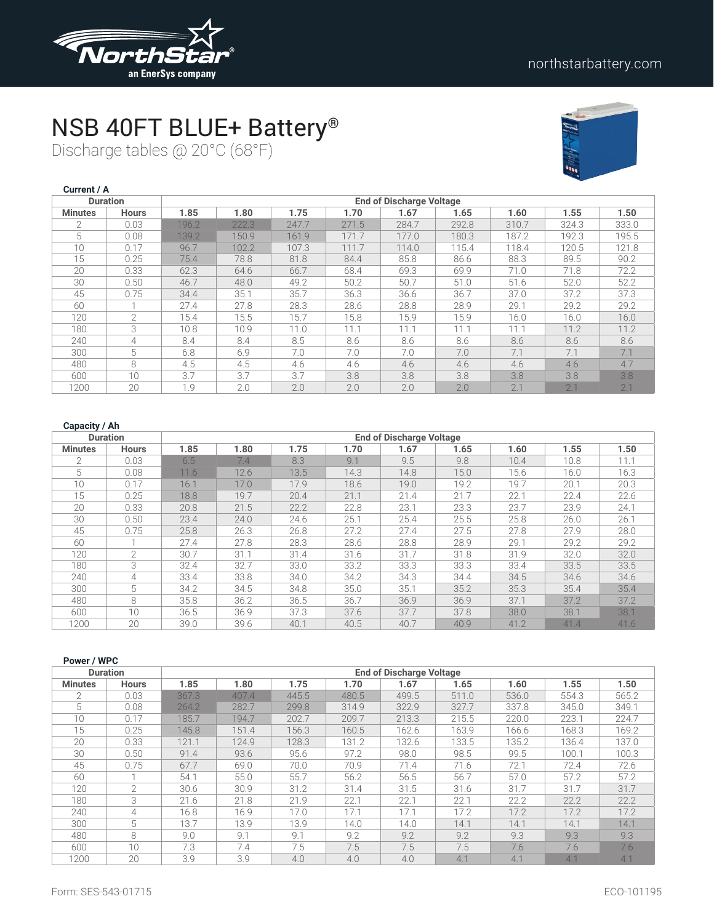

### NSB 40FT BLUE+ Battery®

Discharge tables @ 20°C (68°F)



| Current / A    |                 |       |       |       |       |                                 |       |       |       |       |
|----------------|-----------------|-------|-------|-------|-------|---------------------------------|-------|-------|-------|-------|
|                | <b>Duration</b> |       |       |       |       | <b>End of Discharge Voltage</b> |       |       |       |       |
| <b>Minutes</b> | <b>Hours</b>    | 1.85  | 1.80  | 1.75  | 1.70  | 1.67                            | 1.65  | 1.60  | 1.55  | 1.50  |
| $\mathcal{P}$  | 0.03            | 196.2 | 222.3 | 247.7 | 271.5 | 284.7                           | 292.8 | 310.7 | 324.3 | 333.0 |
| 5              | 0.08            | 139.2 | 150.9 | 161.9 | 171.7 | 177.0                           | 180.3 | 187.2 | 192.3 | 195.5 |
| 10             | 0.17            | 96.7  | 102.2 | 107.3 | 111.7 | 114.0                           | 115.4 | 118.4 | 120.5 | 121.8 |
| 15             | 0.25            | 75.4  | 78.8  | 81.8  | 84.4  | 85.8                            | 86.6  | 88.3  | 89.5  | 90.2  |
| 20             | 0.33            | 62.3  | 64.6  | 66.7  | 68.4  | 69.3                            | 69.9  | 71.0  | 71.8  | 72.2  |
| 30             | 0.50            | 46.7  | 48.0  | 49.2  | 50.2  | 50.7                            | 51.0  | 51.6  | 52.0  | 52.2  |
| 45             | 0.75            | 34.4  | 35.1  | 35.7  | 36.3  | 36.6                            | 36.7  | 37.0  | 37.2  | 37.3  |
| 60             |                 | 27.4  | 27.8  | 28.3  | 28.6  | 28.8                            | 28.9  | 29.1  | 29.2  | 29.2  |
| 120            | $\overline{2}$  | 15.4  | 15.5  | 15.7  | 15.8  | 15.9                            | 15.9  | 16.0  | 16.0  | 16.0  |
| 180            | 3               | 10.8  | 10.9  | 11.0  | 11.1  | 11.1                            | 11.1  | 11.1  | 11.2  | 11.2  |
| 240            | 4               | 8.4   | 8.4   | 8.5   | 8.6   | 8.6                             | 8.6   | 8.6   | 8.6   | 8.6   |
| 300            | 5               | 6.8   | 6.9   | 7.0   | 7.0   | 7.0                             | 7.0   | 7.1   | 7.1   | 7.1   |
| 480            | 8               | 4.5   | 4.5   | 4.6   | 4.6   | 4.6                             | 4.6   | 4.6   | 4.6   | 4.7   |
| 600            | 10              | 3.7   | 3.7   | 3.7   | 3.8   | 3.8                             | 3.8   | 3.8   | 3.8   | 3.8   |
| 1200           | 20              | 1.9   | 2.0   | 2.0   | 2.0   | 2.0                             | 2.0   | 2.1   | 2.1   | 2.1   |

| <b>Duration</b> |               |      | <b>End of Discharge Voltage</b> |      |      |      |      |      |      |      |
|-----------------|---------------|------|---------------------------------|------|------|------|------|------|------|------|
| <b>Minutes</b>  | <b>Hours</b>  | 1.85 | 1.80                            | 1.75 | 1.70 | 1.67 | 1.65 | 1.60 | 1.55 | 1.50 |
| $\mathfrak{D}$  | 0.03          | 6.5  | 7.4                             | 8.3  | 9.1  | 9.5  | 9.8  | 10.4 | 10.8 | 11.1 |
| 5               | 0.08          | 11.6 | 12.6                            | 13.5 | 14.3 | 14.8 | 15.0 | 15.6 | 16.0 | 16.3 |
| 10              | 0.17          | 16.1 | 17.0                            | 17.9 | 18.6 | 19.0 | 19.2 | 19.7 | 20.1 | 20.3 |
| 15              | 0.25          | 18.8 | 19.7                            | 20.4 | 21.1 | 21.4 | 21.7 | 22.1 | 22.4 | 22.6 |
| 20              | 0.33          | 20.8 | 21.5                            | 22.2 | 22.8 | 23.1 | 23.3 | 23.7 | 23.9 | 24.1 |
| 30              | 0.50          | 23.4 | 24.0                            | 24.6 | 25.1 | 25.4 | 25.5 | 25.8 | 26.0 | 26.1 |
| 45              | 0.75          | 25.8 | 26.3                            | 26.8 | 27.2 | 27.4 | 27.5 | 27.8 | 27.9 | 28.0 |
| 60              |               | 27.4 | 27.8                            | 28.3 | 28.6 | 28.8 | 28.9 | 29.1 | 29.2 | 29.2 |
| 120             | $\mathcal{P}$ | 30.7 | 31.1                            | 31.4 | 31.6 | 31.7 | 31.8 | 31.9 | 32.0 | 32.0 |
| 180             | 3             | 32.4 | 32.7                            | 33.0 | 33.2 | 33.3 | 33.3 | 33.4 | 33.5 | 33.5 |
| 240             | 4             | 33.4 | 33.8                            | 34.0 | 34.2 | 34.3 | 34.4 | 34.5 | 34.6 | 34.6 |
| 300             | 5             | 34.2 | 34.5                            | 34.8 | 35.0 | 35.1 | 35.2 | 35.3 | 35.4 | 35.4 |
| 480             | 8             | 35.8 | 36.2                            | 36.5 | 36.7 | 36.9 | 36.9 | 37.1 | 37.2 | 37.2 |
| 600             | 10            | 36.5 | 36.9                            | 37.3 | 37.6 | 37.7 | 37.8 | 38.0 | 38.1 | 38.1 |
| 1200            | 20            | 39.0 | 39.6                            | 40.1 | 40.5 | 40.7 | 40.9 | 41.2 | 41.4 | 41.6 |

| Power / WPC    |                 |       |       |       |       |                                 |       |       |       |       |
|----------------|-----------------|-------|-------|-------|-------|---------------------------------|-------|-------|-------|-------|
|                | <b>Duration</b> |       |       |       |       | <b>End of Discharge Voltage</b> |       |       |       |       |
| <b>Minutes</b> | <b>Hours</b>    | 1.85  | 1.80  | 1.75  | 1.70  | 1.67                            | 1.65  | 1.60  | 1.55  | 1.50  |
| $\overline{2}$ | 0.03            | 367.3 | 407.4 | 445.5 | 480.5 | 499.5                           | 511.0 | 536.0 | 554.3 | 565.2 |
| 5              | 0.08            | 264.2 | 282.7 | 299.8 | 314.9 | 322.9                           | 327.7 | 337.8 | 345.0 | 349.1 |
| 10             | 0.17            | 185.7 | 194.7 | 202.7 | 209.7 | 213.3                           | 215.5 | 220.0 | 223.1 | 224.7 |
| 15             | 0.25            | 145.8 | 151.4 | 156.3 | 160.5 | 162.6                           | 163.9 | 166.6 | 168.3 | 169.2 |
| 20             | 0.33            | 121.1 | 124.9 | 128.3 | 131.2 | 132.6                           | 133.5 | 135.2 | 136.4 | 137.0 |
| 30             | 0.50            | 91.4  | 93.6  | 95.6  | 97.2  | 98.0                            | 98.5  | 99.5  | 100.1 | 100.3 |
| 45             | 0.75            | 67.7  | 69.0  | 70.0  | 70.9  | 71.4                            | 71.6  | 72.1  | 72.4  | 72.6  |
| 60             |                 | 54.1  | 55.0  | 55.7  | 56.2  | 56.5                            | 56.7  | 57.0  | 57.2  | 57.2  |
| 120            | 2               | 30.6  | 30.9  | 31.2  | 31.4  | 31.5                            | 31.6  | 31.7  | 31.7  | 31.7  |
| 180            | 3               | 21.6  | 21.8  | 21.9  | 22.1  | 22.1                            | 22.1  | 22.2  | 22.2  | 22.2  |
| 240            | 4               | 16.8  | 16.9  | 17.0  | 17.1  | 17.1                            | 17.2  | 17.2  | 17.2  | 17.2  |
| 300            | 5               | 13.7  | 13.9  | 13.9  | 14.0  | 14.0                            | 14.1  | 14.1  | 14.1  | 14.1  |
| 480            | 8               | 9.0   | 9.1   | 9.1   | 9.2   | 9.2                             | 9.2   | 9.3   | 9.3   | 9.3   |
| 600            | 10 <sup>1</sup> | 7.3   | 7.4   | 7.5   | 7.5   | 7.5                             | 7.5   | 7.6   | 7.6   | 7.6   |
| 1200           | 20              | 3.9   | 3.9   | 4.0   | 4.0   | 4.0                             | 4.1   | 4.1   | 4.1   | 4.1   |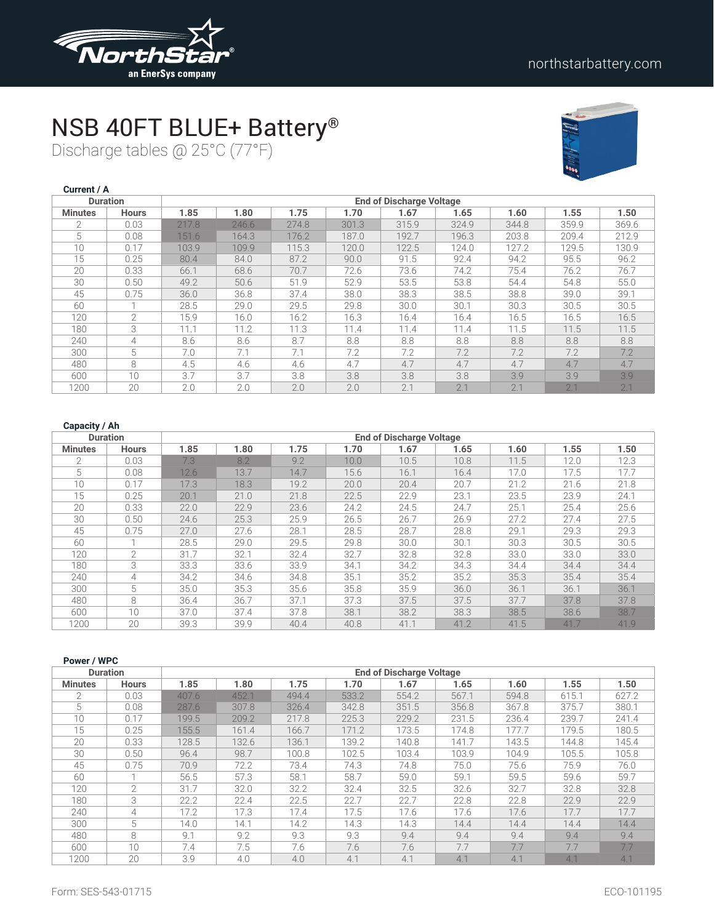

### NSB 40FT BLUE+ Battery®

Discharge tables @ 25°C (77°F)



| Current / A    |                 |       |       |       |       |                                 |       |       |       |       |
|----------------|-----------------|-------|-------|-------|-------|---------------------------------|-------|-------|-------|-------|
|                | <b>Duration</b> |       |       |       |       | <b>End of Discharge Voltage</b> |       |       |       |       |
| <b>Minutes</b> | <b>Hours</b>    | 1.85  | 1.80  | 1.75  | 1.70  | 1.67                            | 1.65  | 1.60  | 1.55  | 1.50  |
| $\mathcal{P}$  | 0.03            | 217.8 | 246.6 | 274.8 | 301.3 | 315.9                           | 324.9 | 344.8 | 359.9 | 369.6 |
| 5              | 0.08            | 151.6 | 164.3 | 176.2 | 187.0 | 192.7                           | 196.3 | 203.8 | 209.4 | 212.9 |
| 10             | 0.17            | 103.9 | 109.9 | 115.3 | 120.0 | 122.5                           | 124.0 | 127.2 | 129.5 | 130.9 |
| 15             | 0.25            | 80.4  | 84.0  | 87.2  | 90.0  | 91.5                            | 92.4  | 94.2  | 95.5  | 96.2  |
| 20             | 0.33            | 66.1  | 68.6  | 70.7  | 72.6  | 73.6                            | 74.2  | 75.4  | 76.2  | 76.7  |
| 30             | 0.50            | 49.2  | 50.6  | 51.9  | 52.9  | 53.5                            | 53.8  | 54.4  | 54.8  | 55.0  |
| 45             | 0.75            | 36.0  | 36.8  | 37.4  | 38.0  | 38.3                            | 38.5  | 38.8  | 39.0  | 39.1  |
| 60             |                 | 28.5  | 29.0  | 29.5  | 29.8  | 30.0                            | 30.1  | 30.3  | 30.5  | 30.5  |
| 120            | $\overline{2}$  | 15.9  | 16.0  | 16.2  | 16.3  | 16.4                            | 16.4  | 16.5  | 16.5  | 16.5  |
| 180            | 3               | 11.1  | 11.2  | 11.3  | 11.4  | 11.4                            | 11.4  | 11.5  | 11.5  | 11.5  |
| 240            | 4               | 8.6   | 8.6   | 8.7   | 8.8   | 8.8                             | 8.8   | 8.8   | 8.8   | 8.8   |
| 300            | 5               | 7.0   | 7.1   | 7.1   | 7.2   | 7.2                             | 7.2   | 7.2   | 7.2   | 7.2   |
| 480            | 8               | 4.5   | 4.6   | 4.6   | 4.7   | 4.7                             | 4.7   | 4.7   | 4.7   | 4.7   |
| 600            | 10              | 3.7   | 3.7   | 3.8   | 3.8   | 3.8                             | 3.8   | 3.9   | 3.9   | 3.9   |
| 1200           | 20              | 2.0   | 2.0   | 2.0   | 2.0   | 2.1                             | 2.1   | 2.1   | 2.1   | 2.1   |

| <b>Duration</b> |               |      |      |      |      | <b>End of Discharge Voltage</b> |      |      |      |      |
|-----------------|---------------|------|------|------|------|---------------------------------|------|------|------|------|
| <b>Minutes</b>  | <b>Hours</b>  | 1.85 | 1.80 | 1.75 | 1.70 | 1.67                            | 1.65 | 1.60 | 1.55 | 1.50 |
| $\mathfrak{D}$  | 0.03          | 7.3  | 8.2  | 9.2  | 10.0 | 10.5                            | 10.8 | 11.5 | 12.0 | 12.3 |
| 5               | 0.08          | 12.6 | 13.7 | 14.7 | 15.6 | 16.1                            | 16.4 | 17.0 | 17.5 | 17.7 |
| 10 <sup>°</sup> | 0.17          | 17.3 | 18.3 | 19.2 | 20.0 | 20.4                            | 20.7 | 21.2 | 21.6 | 21.8 |
| 15              | 0.25          | 20.1 | 21.0 | 21.8 | 22.5 | 22.9                            | 23.1 | 23.5 | 23.9 | 24.1 |
| 20              | 0.33          | 22.0 | 22.9 | 23.6 | 24.2 | 24.5                            | 24.7 | 25.1 | 25.4 | 25.6 |
| 30              | 0.50          | 24.6 | 25.3 | 25.9 | 26.5 | 26.7                            | 26.9 | 27.2 | 27.4 | 27.5 |
| 45              | 0.75          | 27.0 | 27.6 | 28.1 | 28.5 | 28.7                            | 28.8 | 29.1 | 29.3 | 29.3 |
| 60              |               | 28.5 | 29.0 | 29.5 | 29.8 | 30.0                            | 30.1 | 30.3 | 30.5 | 30.5 |
| 120             | $\mathcal{L}$ | 31.7 | 32.1 | 32.4 | 32.7 | 32.8                            | 32.8 | 33.0 | 33.0 | 33.0 |
| 180             | 3             | 33.3 | 33.6 | 33.9 | 34.1 | 34.2                            | 34.3 | 34.4 | 34.4 | 34.4 |
| 240             | 4             | 34.2 | 34.6 | 34.8 | 35.1 | 35.2                            | 35.2 | 35.3 | 35.4 | 35.4 |
| 300             | 5             | 35.0 | 35.3 | 35.6 | 35.8 | 35.9                            | 36.0 | 36.1 | 36.1 | 36.1 |
| 480             | 8             | 36.4 | 36.7 | 37.1 | 37.3 | 37.5                            | 37.5 | 37.7 | 37.8 | 37.8 |
| 600             | 10            | 37.0 | 37.4 | 37.8 | 38.1 | 38.2                            | 38.3 | 38.5 | 38.6 | 38.7 |
| 1200            | 20            | 39.3 | 39.9 | 40.4 | 40.8 | 41.1                            | 41.2 | 41.5 | 41.7 | 41.9 |

| Power / WPC    |                 |       |       |       |       |                                 |       |       |       |       |
|----------------|-----------------|-------|-------|-------|-------|---------------------------------|-------|-------|-------|-------|
|                | <b>Duration</b> |       |       |       |       | <b>End of Discharge Voltage</b> |       |       |       |       |
| <b>Minutes</b> | <b>Hours</b>    | 1.85  | 1.80  | 1.75  | 1.70  | 1.67                            | 1.65  | 1.60  | 1.55  | 1.50  |
| $\overline{2}$ | 0.03            | 407.6 | 452.1 | 494.4 | 533.2 | 554.2                           | 567.1 | 594.8 | 615.1 | 627.2 |
| 5              | 0.08            | 287.6 | 307.8 | 326.4 | 342.8 | 351.5                           | 356.8 | 367.8 | 375.7 | 380.1 |
| 10             | 0.17            | 199.5 | 209.2 | 217.8 | 225.3 | 229.2                           | 231.5 | 236.4 | 239.7 | 241.4 |
| 15             | 0.25            | 155.5 | 161.4 | 166.7 | 171.2 | 173.5                           | 174.8 | 177.7 | 179.5 | 180.5 |
| 20             | 0.33            | 128.5 | 132.6 | 136.1 | 139.2 | 140.8                           | 141.7 | 143.5 | 144.8 | 145.4 |
| 30             | 0.50            | 96.4  | 98.7  | 100.8 | 102.5 | 103.4                           | 103.9 | 104.9 | 105.5 | 105.8 |
| 45             | 0.75            | 70.9  | 72.2  | 73.4  | 74.3  | 74.8                            | 75.0  | 75.6  | 75.9  | 76.0  |
| 60             |                 | 56.5  | 57.3  | 58.1  | 58.7  | 59.0                            | 59.1  | 59.5  | 59.6  | 59.7  |
| 120            | 2               | 31.7  | 32.0  | 32.2  | 32.4  | 32.5                            | 32.6  | 32.7  | 32.8  | 32.8  |
| 180            | 3               | 22.2  | 22.4  | 22.5  | 22.7  | 22.7                            | 22.8  | 22.8  | 22.9  | 22.9  |
| 240            | 4               | 17.2  | 17.3  | 17.4  | 17.5  | 17.6                            | 17.6  | 17.6  | 17.7  | 17.7  |
| 300            | 5               | 14.0  | 14.1  | 14.2  | 14.3  | 14.3                            | 14.4  | 14.4  | 14.4  | 14.4  |
| 480            | 8               | 9.1   | 9.2   | 9.3   | 9.3   | 9.4                             | 9.4   | 9.4   | 9.4   | 9.4   |
| 600            | 10 <sup>1</sup> | 7.4   | 7.5   | 7.6   | 7.6   | 7.6                             | 7.7   | 7.7   | 7.7   | 7.7   |
| 1200           | 20              | 3.9   | 4.0   | 4.0   | 4.1   | 4.1                             | 4.1   | 4.1   | 4.1   | 4.1   |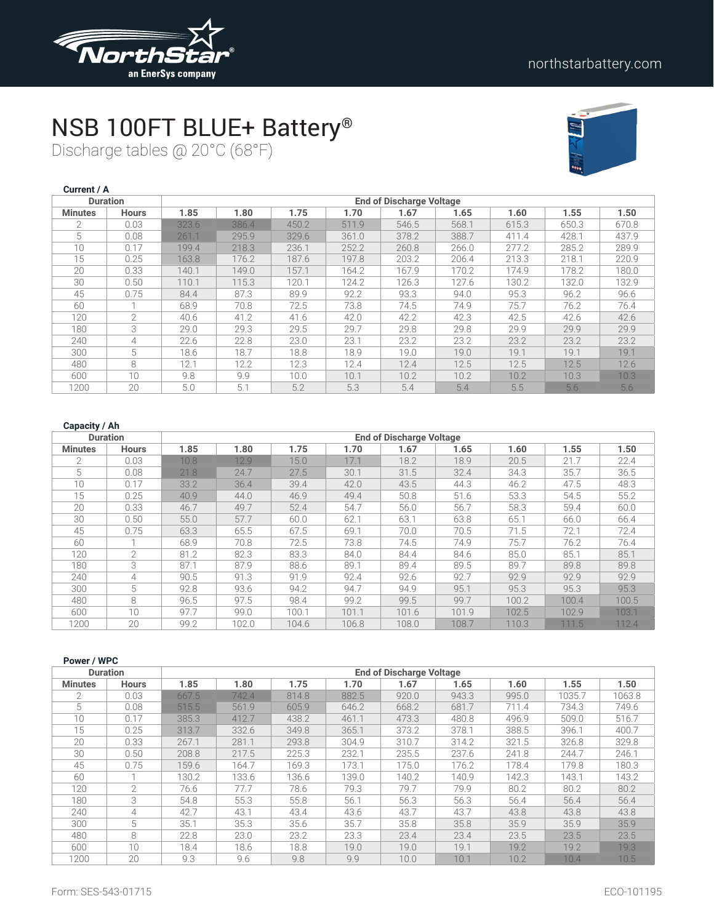

# NSB 100FT BLUE+ Battery®

Discharge tables @ 20°C (68°F)



| Current / A    |                 |       |       |       |       |                                 |       |       |       |       |
|----------------|-----------------|-------|-------|-------|-------|---------------------------------|-------|-------|-------|-------|
|                | <b>Duration</b> |       |       |       |       | <b>End of Discharge Voltage</b> |       |       |       |       |
| <b>Minutes</b> | <b>Hours</b>    | 1.85  | 1.80  | 1.75  | 1.70  | 1.67                            | 1.65  | 1.60  | 1.55  | 1.50  |
| $\mathfrak{D}$ | 0.03            | 323.6 | 386.4 | 450.2 | 511.9 | 546.5                           | 568.1 | 615.3 | 650.3 | 670.8 |
| 5              | 0.08            | 261.1 | 295.9 | 329.6 | 361.0 | 378.2                           | 388.7 | 411.4 | 428.1 | 437.9 |
| 10             | 0.17            | 199.4 | 218.3 | 236.1 | 252.2 | 260.8                           | 266.0 | 277.2 | 285.2 | 289.9 |
| 15             | 0.25            | 163.8 | 176.2 | 187.6 | 197.8 | 203.2                           | 206.4 | 213.3 | 218.1 | 220.9 |
| 20             | 0.33            | 140.1 | 149.0 | 157.1 | 164.2 | 167.9                           | 170.2 | 174.9 | 178.2 | 180.0 |
| 30             | 0.50            | 110.1 | 115.3 | 120.1 | 124.2 | 126.3                           | 127.6 | 130.2 | 132.0 | 132.9 |
| 45             | 0.75            | 84.4  | 87.3  | 89.9  | 92.2  | 93.3                            | 94.0  | 95.3  | 96.2  | 96.6  |
| 60             | H.              | 68.9  | 70.8  | 72.5  | 73.8  | 74.5                            | 74.9  | 75.7  | 76.2  | 76.4  |
| 120            | $\overline{2}$  | 40.6  | 41.2  | 41.6  | 42.0  | 42.2                            | 42.3  | 42.5  | 42.6  | 42.6  |
| 180            | 3               | 29.0  | 29.3  | 29.5  | 29.7  | 29.8                            | 29.8  | 29.9  | 29.9  | 29.9  |
| 240            | 4               | 22.6  | 22.8  | 23.0  | 23.1  | 23.2                            | 23.2  | 23.2  | 23.2  | 23.2  |
| 300            | 5               | 18.6  | 18.7  | 18.8  | 18.9  | 19.0                            | 19.0  | 19.1  | 19.1  | 19.1  |
| 480            | 8               | 12.1  | 12.2  | 12.3  | 12.4  | 12.4                            | 12.5  | 12.5  | 12.5  | 12.6  |
| 600            | 10              | 9.8   | 9.9   | 10.0  | 10.1  | 10.2                            | 10.2  | 10.2  | 10.3  | 10.3  |
| 1200           | 20              | 5.0   | 5.1   | 5.2   | 5.3   | 5.4                             | 5.4   | 5.5   | 5.6   | 5.6   |

| <b>Duration</b> |               |      |       |       |       | <b>End of Discharge Voltage</b> |       |       |       |       |
|-----------------|---------------|------|-------|-------|-------|---------------------------------|-------|-------|-------|-------|
| <b>Minutes</b>  | <b>Hours</b>  | 1.85 | 1.80  | 1.75  | 1.70  | 1.67                            | 1.65  | 1.60  | 1.55  | 1.50  |
| $\mathfrak{D}$  | 0.03          | 10.8 | 12.9  | 15.0  | 17.1  | 18.2                            | 18.9  | 20.5  | 21.7  | 22.4  |
| 5               | 0.08          | 21.8 | 24.7  | 27.5  | 30.1  | 31.5                            | 32.4  | 34.3  | 35.7  | 36.5  |
| 10              | 0.17          | 33.2 | 36.4  | 39.4  | 42.0  | 43.5                            | 44.3  | 46.2  | 47.5  | 48.3  |
| 15              | 0.25          | 40.9 | 44.0  | 46.9  | 49.4  | 50.8                            | 51.6  | 53.3  | 54.5  | 55.2  |
| 20              | 0.33          | 46.7 | 49.7  | 52.4  | 54.7  | 56.0                            | 56.7  | 58.3  | 59.4  | 60.0  |
| 30              | 0.50          | 55.0 | 57.7  | 60.0  | 62.1  | 63.1                            | 63.8  | 65.1  | 66.0  | 66.4  |
| 45              | 0.75          | 63.3 | 65.5  | 67.5  | 69.1  | 70.0                            | 70.5  | 71.5  | 72.1  | 72.4  |
| 60              |               | 68.9 | 70.8  | 72.5  | 73.8  | 74.5                            | 74.9  | 75.7  | 76.2  | 76.4  |
| 120             | $\mathcal{L}$ | 81.2 | 82.3  | 83.3  | 84.0  | 84.4                            | 84.6  | 85.0  | 85.1  | 85.1  |
| 180             | 3             | 87.1 | 87.9  | 88.6  | 89.1  | 89.4                            | 89.5  | 89.7  | 89.8  | 89.8  |
| 240             | 4             | 90.5 | 91.3  | 91.9  | 92.4  | 92.6                            | 92.7  | 92.9  | 92.9  | 92.9  |
| 300             | 5             | 92.8 | 93.6  | 94.2  | 94.7  | 94.9                            | 95.1  | 95.3  | 95.3  | 95.3  |
| 480             | 8             | 96.5 | 97.5  | 98.4  | 99.2  | 99.5                            | 99.7  | 100.2 | 100.4 | 100.5 |
| 600             | 10            | 97.7 | 99.0  | 100.1 | 101.1 | 101.6                           | 101.9 | 102.5 | 102.9 | 103.1 |
| 1200            | 20            | 99.2 | 102.0 | 104.6 | 106.8 | 108.0                           | 108.7 | 110.3 | 111.5 | 112.4 |

| Power / WPC    |                 |       |       |       |       |                                 |       |       |        |        |
|----------------|-----------------|-------|-------|-------|-------|---------------------------------|-------|-------|--------|--------|
|                | <b>Duration</b> |       |       |       |       | <b>End of Discharge Voltage</b> |       |       |        |        |
| <b>Minutes</b> | <b>Hours</b>    | 1.85  | 1.80  | 1.75  | 1.70  | 1.67                            | 1.65  | 1.60  | 1.55   | 1.50   |
| 2              | 0.03            | 667.5 | 742.4 | 814.8 | 882.5 | 920.0                           | 943.3 | 995.0 | 1035.7 | 1063.8 |
| 5              | 0.08            | 515.5 | 561.9 | 605.9 | 646.2 | 668.2                           | 681.7 | 711.4 | 734.3  | 749.6  |
| 10             | 0.17            | 385.3 | 412.7 | 438.2 | 461.1 | 473.3                           | 480.8 | 496.9 | 509.0  | 516.7  |
| 15             | 0.25            | 313.7 | 332.6 | 349.8 | 365.1 | 373.2                           | 378.1 | 388.5 | 396.1  | 400.7  |
| 20             | 0.33            | 267.1 | 281.1 | 293.8 | 304.9 | 310.7                           | 314.2 | 321.5 | 326.8  | 329.8  |
| 30             | 0.50            | 208.8 | 217.5 | 225.3 | 232.1 | 235.5                           | 237.6 | 241.8 | 244.7  | 246.1  |
| 45             | 0.75            | 159.6 | 164.7 | 169.3 | 173.1 | 175.0                           | 176.2 | 178.4 | 179.8  | 180.3  |
| 60             |                 | 130.2 | 133.6 | 136.6 | 139.0 | 140.2                           | 140.9 | 142.3 | 143.1  | 143.2  |
| 120            | $\mathcal{P}$   | 76.6  | 77.7  | 78.6  | 79.3  | 79.7                            | 79.9  | 80.2  | 80.2   | 80.2   |
| 180            | 3               | 54.8  | 55.3  | 55.8  | 56.1  | 56.3                            | 56.3  | 56.4  | 56.4   | 56.4   |
| 240            | 4               | 42.7  | 43.1  | 43.4  | 43.6  | 43.7                            | 43.7  | 43.8  | 43.8   | 43.8   |
| 300            | 5               | 35.1  | 35.3  | 35.6  | 35.7  | 35.8                            | 35.8  | 35.9  | 35.9   | 35.9   |
| 480            | 8               | 22.8  | 23.0  | 23.2  | 23.3  | 23.4                            | 23.4  | 23.5  | 23.5   | 23.5   |
| 600            | 10 <sup>1</sup> | 18.4  | 18.6  | 18.8  | 19.0  | 19.0                            | 19.1  | 19.2  | 19.2   | 19.3   |
| 1200           | 20              | 9.3   | 9.6   | 9.8   | 9.9   | 10.0                            | 10.1  | 10.2  | 10.4   | 10.5   |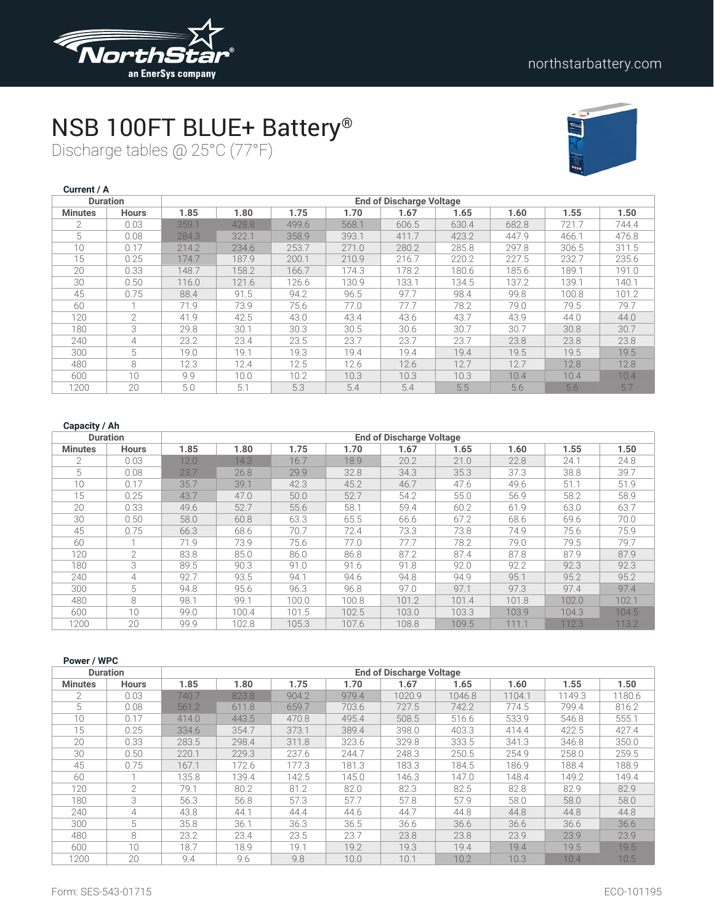

# NSB 100FT BLUE+ Battery®

Discharge tables @ 25°C (77°F)



| Current / A    |                 |       |       |       |       |                                 |       |       |       |       |
|----------------|-----------------|-------|-------|-------|-------|---------------------------------|-------|-------|-------|-------|
|                | <b>Duration</b> |       |       |       |       | <b>End of Discharge Voltage</b> |       |       |       |       |
| <b>Minutes</b> | <b>Hours</b>    | 1.85  | 1.80  | 1.75  | 1.70  | 1.67                            | 1.65  | 1.60  | 1.55  | 1.50  |
| $\mathfrak{D}$ | 0.03            | 359.1 | 428.8 | 499.6 | 568.1 | 606.5                           | 630.4 | 682.8 | 721.7 | 744.4 |
| 5              | 0.08            | 284.3 | 322.1 | 358.9 | 393.1 | 411.7                           | 423.2 | 447.9 | 466.1 | 476.8 |
| 10             | 0.17            | 214.2 | 234.6 | 253.7 | 271.0 | 280.2                           | 285.8 | 297.8 | 306.5 | 311.5 |
| 15             | 0.25            | 174.7 | 187.9 | 200.1 | 210.9 | 216.7                           | 220.2 | 227.5 | 232.7 | 235.6 |
| 20             | 0.33            | 148.7 | 158.2 | 166.7 | 174.3 | 178.2                           | 180.6 | 185.6 | 189.1 | 191.0 |
| 30             | 0.50            | 116.0 | 121.6 | 126.6 | 130.9 | 133.1                           | 134.5 | 137.2 | 139.1 | 140.1 |
| 45             | 0.75            | 88.4  | 91.5  | 94.2  | 96.5  | 97.7                            | 98.4  | 99.8  | 100.8 | 101.2 |
| 60             |                 | 71.9  | 73.9  | 75.6  | 77.0  | 77.7                            | 78.2  | 79.0  | 79.5  | 79.7  |
| 120            | $\overline{2}$  | 41.9  | 42.5  | 43.0  | 43.4  | 43.6                            | 43.7  | 43.9  | 44.0  | 44.0  |
| 180            | 3               | 29.8  | 30.1  | 30.3  | 30.5  | 30.6                            | 30.7  | 30.7  | 30.8  | 30.7  |
| 240            | 4               | 23.2  | 23.4  | 23.5  | 23.7  | 23.7                            | 23.7  | 23.8  | 23.8  | 23.8  |
| 300            | 5               | 19.0  | 19.1  | 19.3  | 19.4  | 19.4                            | 19.4  | 19.5  | 19.5  | 19.5  |
| 480            | 8               | 12.3  | 12.4  | 12.5  | 12.6  | 12.6                            | 12.7  | 12.7  | 12.8  | 12.8  |
| 600            | 10              | 9.9   | 10.0  | 10.2  | 10.3  | 10.3                            | 10.3  | 10.4  | 10.4  | 10.4  |
| 1200           | 20              | 5.0   | 5.1   | 5.3   | 5.4   | 5.4                             | 5.5   | 5.6   | 5.6   | 5.7   |

| <b>Duration</b> |                |      |       |       |       | <b>End of Discharge Voltage</b> |       |       |       |       |
|-----------------|----------------|------|-------|-------|-------|---------------------------------|-------|-------|-------|-------|
| <b>Minutes</b>  | <b>Hours</b>   | 1.85 | 1.80  | 1.75  | 1.70  | 1.67                            | 1.65  | 1.60  | 1.55  | 1.50  |
| $\mathfrak{D}$  | 0.03           | 12.0 | 14.3  | 16.7  | 18.9  | 20.2                            | 21.0  | 22.8  | 24.1  | 24.8  |
| 5               | 0.08           | 23.7 | 26.8  | 29.9  | 32.8  | 34.3                            | 35.3  | 37.3  | 38.8  | 39.7  |
| 10              | 0.17           | 35.7 | 39.1  | 42.3  | 45.2  | 46.7                            | 47.6  | 49.6  | 51.1  | 51.9  |
| 15              | 0.25           | 43.7 | 47.0  | 50.0  | 52.7  | 54.2                            | 55.0  | 56.9  | 58.2  | 58.9  |
| 20              | 0.33           | 49.6 | 52.7  | 55.6  | 58.1  | 59.4                            | 60.2  | 61.9  | 63.0  | 63.7  |
| 30              | 0.50           | 58.0 | 60.8  | 63.3  | 65.5  | 66.6                            | 67.2  | 68.6  | 69.6  | 70.0  |
| 45              | 0.75           | 66.3 | 68.6  | 70.7  | 72.4  | 73.3                            | 73.8  | 74.9  | 75.6  | 75.9  |
| 60              |                | 71.9 | 73.9  | 75.6  | 77.0  | 77.7                            | 78.2  | 79.0  | 79.5  | 79.7  |
| 120             | $\overline{2}$ | 83.8 | 85.0  | 86.0  | 86.8  | 87.2                            | 87.4  | 87.8  | 87.9  | 87.9  |
| 180             | 3              | 89.5 | 90.3  | 91.0  | 91.6  | 91.8                            | 92.0  | 92.2  | 92.3  | 92.3  |
| 240             | 4              | 92.7 | 93.5  | 94.1  | 94.6  | 94.8                            | 94.9  | 95.1  | 95.2  | 95.2  |
| 300             | 5              | 94.8 | 95.6  | 96.3  | 96.8  | 97.0                            | 97.1  | 97.3  | 97.4  | 97.4  |
| 480             | 8              | 98.1 | 99.1  | 100.0 | 100.8 | 101.2                           | 101.4 | 101.8 | 102.0 | 102.1 |
| 600             | 10             | 99.0 | 100.4 | 101.5 | 102.5 | 103.0                           | 103.3 | 103.9 | 104.3 | 104.5 |
| 1200            | 20             | 99.9 | 102.8 | 105.3 | 107.6 | 108.8                           | 109.5 | 111.1 | 112.3 | 113.2 |

| Power / WPC     |                |       |       |       |       |                                 |        |        |        |        |
|-----------------|----------------|-------|-------|-------|-------|---------------------------------|--------|--------|--------|--------|
| <b>Duration</b> |                |       |       |       |       | <b>End of Discharge Voltage</b> |        |        |        |        |
| <b>Minutes</b>  | <b>Hours</b>   | 1.85  | 1.80  | 1.75  | 1.70  | 1.67                            | 1.65   | 1.60   | 1.55   | 1.50   |
|                 | 0.03           | 740.7 | 823.8 | 904.2 | 979.4 | 1020.9                          | 1046.8 | 1104.1 | 1149.3 | 1180.6 |
| 5               | 0.08           | 561.2 | 611.8 | 659.7 | 703.6 | 727.5                           | 742.2  | 774.5  | 799.4  | 816.2  |
| 10              | 0.17           | 414.0 | 443.5 | 470.8 | 495.4 | 508.5                           | 516.6  | 533.9  | 546.8  | 555.1  |
| 15              | 0.25           | 334.6 | 354.7 | 373.1 | 389.4 | 398.0                           | 403.3  | 414.4  | 422.5  | 427.4  |
| 20              | 0.33           | 283.5 | 298.4 | 311.8 | 323.6 | 329.8                           | 333.5  | 341.3  | 346.8  | 350.0  |
| 30              | 0.50           | 220.1 | 229.3 | 237.6 | 244.7 | 248.3                           | 250.5  | 254.9  | 258.0  | 259.5  |
| 45              | 0.75           | 167.1 | 172.6 | 177.3 | 181.3 | 183.3                           | 184.5  | 186.9  | 188.4  | 188.9  |
| 60              |                | 135.8 | 139.4 | 142.5 | 145.0 | 146.3                           | 147.0  | 148.4  | 149.2  | 149.4  |
| 120             | $\overline{2}$ | 79.1  | 80.2  | 81.2  | 82.0  | 82.3                            | 82.5   | 82.8   | 82.9   | 82.9   |
| 180             | 3              | 56.3  | 56.8  | 57.3  | 57.7  | 57.8                            | 57.9   | 58.0   | 58.0   | 58.0   |
| 240             | 4              | 43.8  | 44.1  | 44.4  | 44.6  | 44.7                            | 44.8   | 44.8   | 44.8   | 44.8   |
| 300             | 5              | 35.8  | 36.1  | 36.3  | 36.5  | 36.6                            | 36.6   | 36.6   | 36.6   | 36.6   |
| 480             | 8              | 23.2  | 23.4  | 23.5  | 23.7  | 23.8                            | 23.8   | 23.9   | 23.9   | 23.9   |
| 600             | 10             | 18.7  | 18.9  | 19.1  | 19.2  | 19.3                            | 19.4   | 19.4   | 19.5   | 19.5   |
| 1200            | 20             | 9.4   | 9.6   | 9.8   | 10.0  | 10.1                            | 10.2   | 10.3   | 10.4   | 10.5   |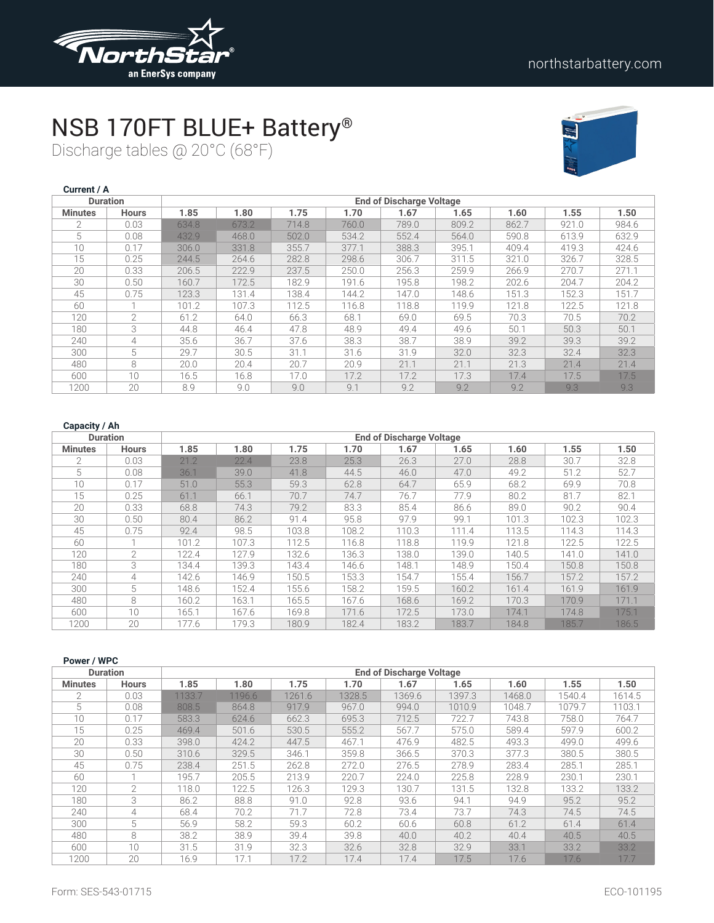

# NSB 170FT BLUE+ Battery®

Discharge tables @ 20°C (68°F)



| Current / A    |                 |       |       |       |       |                                 |       |       |       |       |
|----------------|-----------------|-------|-------|-------|-------|---------------------------------|-------|-------|-------|-------|
|                | <b>Duration</b> |       |       |       |       | <b>End of Discharge Voltage</b> |       |       |       |       |
| <b>Minutes</b> | <b>Hours</b>    | 1.85  | 1.80  | 1.75  | 1.70  | 1.67                            | 1.65  | 1.60  | 1.55  | 1.50  |
| $\mathfrak{D}$ | 0.03            | 634.8 | 673.2 | 714.8 | 760.0 | 789.0                           | 809.2 | 862.7 | 921.0 | 984.6 |
| 5              | 0.08            | 432.9 | 468.0 | 502.0 | 534.2 | 552.4                           | 564.0 | 590.8 | 613.9 | 632.9 |
| 10             | 0.17            | 306.0 | 331.8 | 355.7 | 377.1 | 388.3                           | 395.1 | 409.4 | 419.3 | 424.6 |
| 15             | 0.25            | 244.5 | 264.6 | 282.8 | 298.6 | 306.7                           | 311.5 | 321.0 | 326.7 | 328.5 |
| 20             | 0.33            | 206.5 | 222.9 | 237.5 | 250.0 | 256.3                           | 259.9 | 266.9 | 270.7 | 271.1 |
| 30             | 0.50            | 160.7 | 172.5 | 182.9 | 191.6 | 195.8                           | 198.2 | 202.6 | 204.7 | 204.2 |
| 45             | 0.75            | 123.3 | 131.4 | 138.4 | 144.2 | 147.0                           | 148.6 | 151.3 | 152.3 | 151.7 |
| 60             | h               | 101.2 | 107.3 | 112.5 | 116.8 | 118.8                           | 119.9 | 121.8 | 122.5 | 121.8 |
| 120            | $\overline{2}$  | 61.2  | 64.0  | 66.3  | 68.1  | 69.0                            | 69.5  | 70.3  | 70.5  | 70.2  |
| 180            | 3               | 44.8  | 46.4  | 47.8  | 48.9  | 49.4                            | 49.6  | 50.1  | 50.3  | 50.1  |
| 240            | 4               | 35.6  | 36.7  | 37.6  | 38.3  | 38.7                            | 38.9  | 39.2  | 39.3  | 39.2  |
| 300            | 5               | 29.7  | 30.5  | 31.1  | 31.6  | 31.9                            | 32.0  | 32.3  | 32.4  | 32.3  |
| 480            | 8               | 20.0  | 20.4  | 20.7  | 20.9  | 21.1                            | 21.1  | 21.3  | 21.4  | 21.4  |
| 600            | 10              | 16.5  | 16.8  | 17.0  | 17.2  | 17.2                            | 17.3  | 17.4  | 17.5  | 17.5  |
| 1200           | 20              | 8.9   | 9.0   | 9.0   | 9.1   | 9.2                             | 9.2   | 9.2   | 9.3   | 9.3   |

| <b>Duration</b> |                |       | <b>End of Discharge Voltage</b> |       |       |       |       |       |       |       |
|-----------------|----------------|-------|---------------------------------|-------|-------|-------|-------|-------|-------|-------|
| <b>Minutes</b>  | <b>Hours</b>   | 1.85  | 1.80                            | 1.75  | 1.70  | 1.67  | 1.65  | 1.60  | 1.55  | 1.50  |
| $\mathfrak{D}$  | 0.03           | 21.2  | 22.4                            | 23.8  | 25.3  | 26.3  | 27.0  | 28.8  | 30.7  | 32.8  |
| 5               | 0.08           | 36.1  | 39.0                            | 41.8  | 44.5  | 46.0  | 47.0  | 49.2  | 51.2  | 52.7  |
| 10              | 0.17           | 51.0  | 55.3                            | 59.3  | 62.8  | 64.7  | 65.9  | 68.2  | 69.9  | 70.8  |
| 15              | 0.25           | 61.1  | 66.1                            | 70.7  | 74.7  | 76.7  | 77.9  | 80.2  | 81.7  | 82.1  |
| 20              | 0.33           | 68.8  | 74.3                            | 79.2  | 83.3  | 85.4  | 86.6  | 89.0  | 90.2  | 90.4  |
| 30              | 0.50           | 80.4  | 86.2                            | 91.4  | 95.8  | 97.9  | 99.1  | 101.3 | 102.3 | 102.3 |
| 45              | 0.75           | 92.4  | 98.5                            | 103.8 | 108.2 | 110.3 | 111.4 | 113.5 | 114.3 | 114.3 |
| 60              |                | 101.2 | 107.3                           | 112.5 | 116.8 | 118.8 | 119.9 | 121.8 | 122.5 | 122.5 |
| 120             | $\overline{2}$ | 122.4 | 127.9                           | 132.6 | 136.3 | 138.0 | 139.0 | 140.5 | 141.0 | 141.0 |
| 180             | 3              | 134.4 | 139.3                           | 143.4 | 146.6 | 148.1 | 148.9 | 150.4 | 150.8 | 150.8 |
| 240             | 4              | 142.6 | 146.9                           | 150.5 | 153.3 | 154.7 | 155.4 | 156.7 | 157.2 | 157.2 |
| 300             | 5              | 148.6 | 152.4                           | 155.6 | 158.2 | 159.5 | 160.2 | 161.4 | 161.9 | 161.9 |
| 480             | 8              | 160.2 | 163.1                           | 165.5 | 167.6 | 168.6 | 169.2 | 170.3 | 170.9 | 171.1 |
| 600             | 10             | 165.1 | 167.6                           | 169.8 | 171.6 | 172.5 | 173.0 | 174.1 | 174.8 | 175.1 |
| 1200            | 20             | 177.6 | 179.3                           | 180.9 | 182.4 | 183.2 | 183.7 | 184.8 | 185.7 | 186.5 |

| Power / WPC    |                 |        |        |        |        |                                 |        |        |        |        |
|----------------|-----------------|--------|--------|--------|--------|---------------------------------|--------|--------|--------|--------|
|                | <b>Duration</b> |        |        |        |        | <b>End of Discharge Voltage</b> |        |        |        |        |
| <b>Minutes</b> | <b>Hours</b>    | 1.85   | 1.80   | 1.75   | 1.70   | 1.67                            | 1.65   | 1.60   | 1.55   | 1.50   |
| $\overline{2}$ | 0.03            | 1133.7 | 1196.6 | 1261.6 | 1328.5 | 1369.6                          | 1397.3 | 1468.0 | 1540.4 | 1614.5 |
| 5              | 0.08            | 808.5  | 864.8  | 917.9  | 967.0  | 994.0                           | 1010.9 | 1048.7 | 1079.7 | 1103.1 |
| 10             | 0.17            | 583.3  | 624.6  | 662.3  | 695.3  | 712.5                           | 722.7  | 743.8  | 758.0  | 764.7  |
| 15             | 0.25            | 469.4  | 501.6  | 530.5  | 555.2  | 567.7                           | 575.0  | 589.4  | 597.9  | 600.2  |
| 20             | 0.33            | 398.0  | 424.2  | 447.5  | 467.1  | 476.9                           | 482.5  | 493.3  | 499.0  | 499.6  |
| 30             | 0.50            | 310.6  | 329.5  | 346.1  | 359.8  | 366.5                           | 370.3  | 377.3  | 380.5  | 380.5  |
| 45             | 0.75            | 238.4  | 251.5  | 262.8  | 272.0  | 276.5                           | 278.9  | 283.4  | 285.1  | 285.1  |
| 60             |                 | 195.7  | 205.5  | 213.9  | 220.7  | 224.0                           | 225.8  | 228.9  | 230.1  | 230.1  |
| 120            | 2               | 118.0  | 122.5  | 126.3  | 129.3  | 130.7                           | 131.5  | 132.8  | 133.2  | 133.2  |
| 180            | 3               | 86.2   | 88.8   | 91.0   | 92.8   | 93.6                            | 94.1   | 94.9   | 95.2   | 95.2   |
| 240            | 4               | 68.4   | 70.2   | 71.7   | 72.8   | 73.4                            | 73.7   | 74.3   | 74.5   | 74.5   |
| 300            | 5               | 56.9   | 58.2   | 59.3   | 60.2   | 60.6                            | 60.8   | 61.2   | 61.4   | 61.4   |
| 480            | 8               | 38.2   | 38.9   | 39.4   | 39.8   | 40.0                            | 40.2   | 40.4   | 40.5   | 40.5   |
| 600            | 10              | 31.5   | 31.9   | 32.3   | 32.6   | 32.8                            | 32.9   | 33.1   | 33.2   | 33.2   |
| 1200           | 20              | 16.9   | 17.1   | 17.2   | 17.4   | 17.4                            | 17.5   | 17.6   | 17.6   | 17.7   |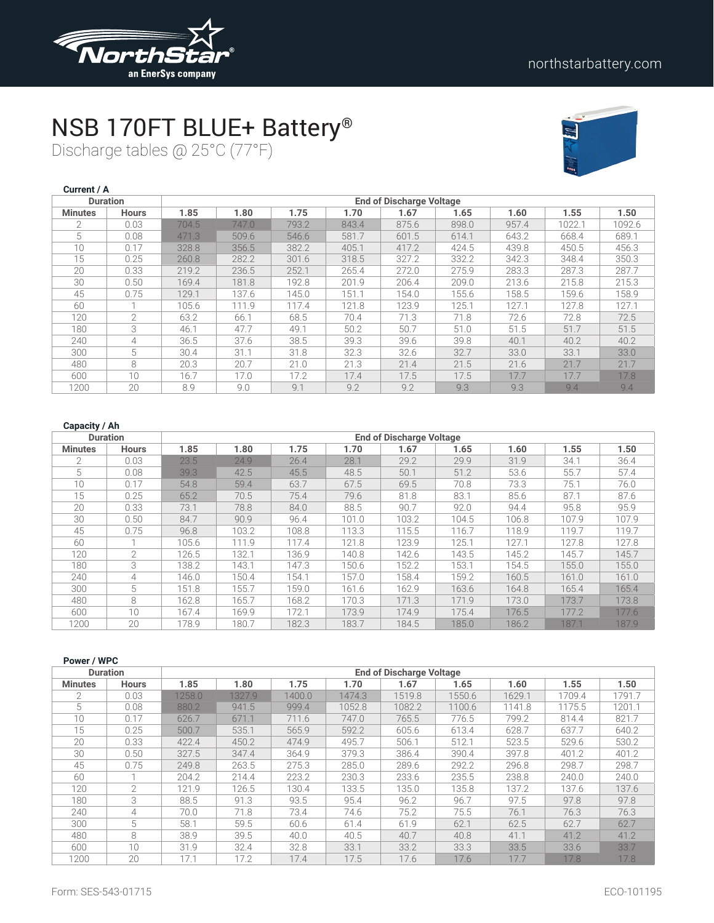

# NSB 170FT BLUE+ Battery®

Discharge tables @ 25°C (77°F)



| Current / A    |                 |       |       |       |       |                                 |       |       |        |        |
|----------------|-----------------|-------|-------|-------|-------|---------------------------------|-------|-------|--------|--------|
|                | <b>Duration</b> |       |       |       |       | <b>End of Discharge Voltage</b> |       |       |        |        |
| <b>Minutes</b> | <b>Hours</b>    | 1.85  | 1.80  | 1.75  | 1.70  | 1.67                            | 1.65  | 1.60  | 1.55   | 1.50   |
| $\overline{2}$ | 0.03            | 704.5 | 747.0 | 793.2 | 843.4 | 875.6                           | 898.0 | 957.4 | 1022.1 | 1092.6 |
| 5              | 0.08            | 471.3 | 509.6 | 546.6 | 581.7 | 601.5                           | 614.1 | 643.2 | 668.4  | 689.1  |
| 10             | 0.17            | 328.8 | 356.5 | 382.2 | 405.1 | 417.2                           | 424.5 | 439.8 | 450.5  | 456.3  |
| 15             | 0.25            | 260.8 | 282.2 | 301.6 | 318.5 | 327.2                           | 332.2 | 342.3 | 348.4  | 350.3  |
| 20             | 0.33            | 219.2 | 236.5 | 252.1 | 265.4 | 272.0                           | 275.9 | 283.3 | 287.3  | 287.7  |
| 30             | 0.50            | 169.4 | 181.8 | 192.8 | 201.9 | 206.4                           | 209.0 | 213.6 | 215.8  | 215.3  |
| 45             | 0.75            | 129.1 | 137.6 | 145.0 | 151.1 | 154.0                           | 155.6 | 158.5 | 159.6  | 158.9  |
| 60             |                 | 105.6 | 111.9 | 117.4 | 121.8 | 123.9                           | 125.1 | 127.1 | 127.8  | 127.1  |
| 120            | $\mathcal{P}$   | 63.2  | 66.1  | 68.5  | 70.4  | 71.3                            | 71.8  | 72.6  | 72.8   | 72.5   |
| 180            | 3               | 46.1  | 47.7  | 49.1  | 50.2  | 50.7                            | 51.0  | 51.5  | 51.7   | 51.5   |
| 240            | 4               | 36.5  | 37.6  | 38.5  | 39.3  | 39.6                            | 39.8  | 40.1  | 40.2   | 40.2   |
| 300            | 5               | 30.4  | 31.1  | 31.8  | 32.3  | 32.6                            | 32.7  | 33.0  | 33.1   | 33.0   |
| 480            | 8               | 20.3  | 20.7  | 21.0  | 21.3  | 21.4                            | 21.5  | 21.6  | 21.7   | 21.7   |
| 600            | 10              | 16.7  | 17.0  | 17.2  | 17.4  | 17.5                            | 17.5  | 17.7  | 17.7   | 17.8   |
| 1200           | 20              | 8.9   | 9.0   | 9.1   | 9.2   | 9.2                             | 9.3   | 9.3   | 9.4    | 9.4    |

| <b>Duration</b> |               |       |       |       |       | <b>End of Discharge Voltage</b> |       |       |       |       |
|-----------------|---------------|-------|-------|-------|-------|---------------------------------|-------|-------|-------|-------|
| <b>Minutes</b>  | <b>Hours</b>  | 1.85  | 1.80  | 1.75  | 1.70  | 1.67                            | 1.65  | 1.60  | 1.55  | 1.50  |
| $\mathcal{P}$   | 0.03          | 23.5  | 24.9  | 26.4  | 28.1  | 29.2                            | 29.9  | 31.9  | 34.1  | 36.4  |
| 5               | 0.08          | 39.3  | 42.5  | 45.5  | 48.5  | 50.1                            | 51.2  | 53.6  | 55.7  | 57.4  |
| 10              | 0.17          | 54.8  | 59.4  | 63.7  | 67.5  | 69.5                            | 70.8  | 73.3  | 75.1  | 76.0  |
| 15              | 0.25          | 65.2  | 70.5  | 75.4  | 79.6  | 81.8                            | 83.1  | 85.6  | 87.1  | 87.6  |
| 20              | 0.33          | 73.1  | 78.8  | 84.0  | 88.5  | 90.7                            | 92.0  | 94.4  | 95.8  | 95.9  |
| 30              | 0.50          | 84.7  | 90.9  | 96.4  | 101.0 | 103.2                           | 104.5 | 106.8 | 107.9 | 107.9 |
| 45              | 0.75          | 96.8  | 103.2 | 108.8 | 113.3 | 115.5                           | 116.7 | 118.9 | 119.7 | 119.7 |
| 60              |               | 105.6 | 111.9 | 117.4 | 121.8 | 123.9                           | 125.1 | 127.1 | 127.8 | 127.8 |
| 120             | $\mathcal{L}$ | 126.5 | 132.1 | 136.9 | 140.8 | 142.6                           | 143.5 | 145.2 | 145.7 | 145.7 |
| 180             | 3             | 138.2 | 143.1 | 147.3 | 150.6 | 152.2                           | 153.1 | 154.5 | 155.0 | 155.0 |
| 240             | 4             | 146.0 | 150.4 | 154.1 | 157.0 | 158.4                           | 159.2 | 160.5 | 161.0 | 161.0 |
| 300             | 5             | 151.8 | 155.7 | 159.0 | 161.6 | 162.9                           | 163.6 | 164.8 | 165.4 | 165.4 |
| 480             | 8             | 162.8 | 165.7 | 168.2 | 170.3 | 171.3                           | 171.9 | 173.0 | 173.7 | 173.8 |
| 600             | 10            | 167.4 | 169.9 | 172.1 | 173.9 | 174.9                           | 175.4 | 176.5 | 177.2 | 177.6 |
| 1200            | 20            | 178.9 | 180.7 | 182.3 | 183.7 | 184.5                           | 185.0 | 186.2 | 187.1 | 187.9 |

| Power / WPC    |                 |        |        |        |        |                                 |        |        |        |        |
|----------------|-----------------|--------|--------|--------|--------|---------------------------------|--------|--------|--------|--------|
|                | <b>Duration</b> |        |        |        |        | <b>End of Discharge Voltage</b> |        |        |        |        |
| <b>Minutes</b> | <b>Hours</b>    | 1.85   | 1.80   | 1.75   | 1.70   | 1.67                            | 1.65   | 1.60   | 1.55   | 1.50   |
| $\overline{2}$ | 0.03            | 1258.0 | 1327.9 | 1400.0 | 1474.3 | 1519.8                          | 1550.6 | 1629.1 | 1709.4 | 1791.7 |
| 5              | 0.08            | 880.2  | 941.5  | 999.4  | 1052.8 | 1082.2                          | 1100.6 | 1141.8 | 1175.5 | 1201.1 |
| 10             | 0.17            | 626.7  | 671.1  | 711.6  | 747.0  | 765.5                           | 776.5  | 799.2  | 814.4  | 821.7  |
| 15             | 0.25            | 500.7  | 535.1  | 565.9  | 592.2  | 605.6                           | 613.4  | 628.7  | 637.7  | 640.2  |
| 20             | 0.33            | 422.4  | 450.2  | 474.9  | 495.7  | 506.1                           | 512.1  | 523.5  | 529.6  | 530.2  |
| 30             | 0.50            | 327.5  | 347.4  | 364.9  | 379.3  | 386.4                           | 390.4  | 397.8  | 401.2  | 401.2  |
| 45             | 0.75            | 249.8  | 263.5  | 275.3  | 285.0  | 289.6                           | 292.2  | 296.8  | 298.7  | 298.7  |
| 60             |                 | 204.2  | 214.4  | 223.2  | 230.3  | 233.6                           | 235.5  | 238.8  | 240.0  | 240.0  |
| 120            | 2               | 121.9  | 126.5  | 130.4  | 133.5  | 135.0                           | 135.8  | 137.2  | 137.6  | 137.6  |
| 180            | 3               | 88.5   | 91.3   | 93.5   | 95.4   | 96.2                            | 96.7   | 97.5   | 97.8   | 97.8   |
| 240            | 4               | 70.0   | 71.8   | 73.4   | 74.6   | 75.2                            | 75.5   | 76.1   | 76.3   | 76.3   |
| 300            | 5               | 58.1   | 59.5   | 60.6   | 61.4   | 61.9                            | 62.1   | 62.5   | 62.7   | 62.7   |
| 480            | 8               | 38.9   | 39.5   | 40.0   | 40.5   | 40.7                            | 40.8   | 41.1   | 41.2   | 41.2   |
| 600            | 10              | 31.9   | 32.4   | 32.8   | 33.1   | 33.2                            | 33.3   | 33.5   | 33.6   | 33.7   |
| 1200           | 20              | 17.1   | 17.2   | 17.4   | 17.5   | 17.6                            | 17.6   | 17.7   | 17.8   | 17.8   |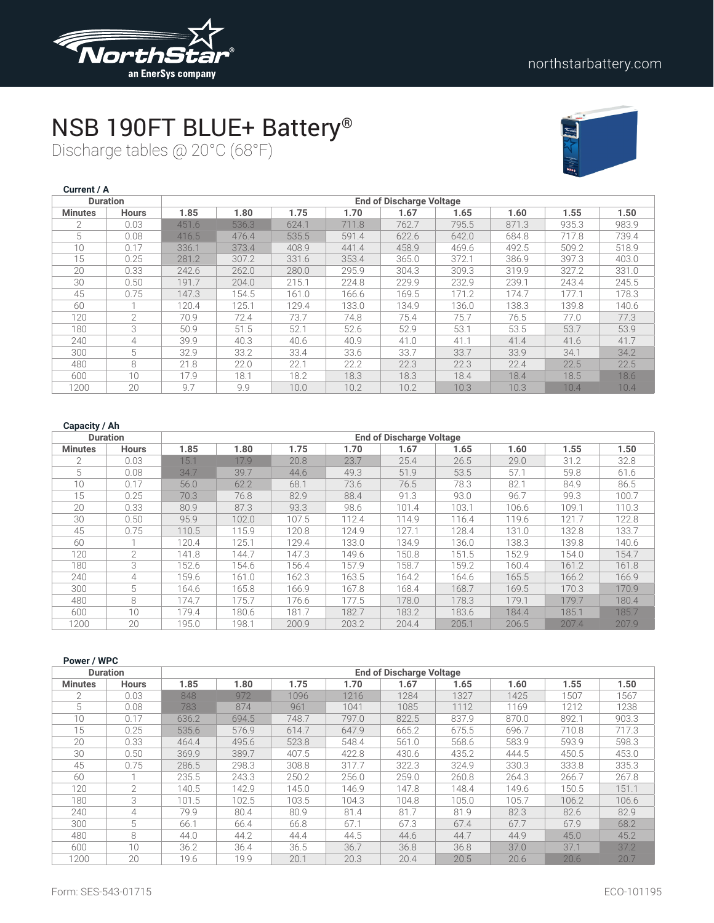

# NSB 190FT BLUE+ Battery®

Discharge tables @ 20°C (68°F)



| Current / A    |                 |       |       |       |       |                                 |       |       |       |       |
|----------------|-----------------|-------|-------|-------|-------|---------------------------------|-------|-------|-------|-------|
|                | <b>Duration</b> |       |       |       |       | <b>End of Discharge Voltage</b> |       |       |       |       |
| <b>Minutes</b> | <b>Hours</b>    | 1.85  | 1.80  | 1.75  | 1.70  | 1.67                            | 1.65  | 1.60  | 1.55  | 1.50  |
| $\mathfrak{D}$ | 0.03            | 451.6 | 536.3 | 624.1 | 711.8 | 762.7                           | 795.5 | 871.3 | 935.3 | 983.9 |
| 5              | 0.08            | 416.5 | 476.4 | 535.5 | 591.4 | 622.6                           | 642.0 | 684.8 | 717.8 | 739.4 |
| 10             | 0.17            | 336.1 | 373.4 | 408.9 | 441.4 | 458.9                           | 469.6 | 492.5 | 509.2 | 518.9 |
| 15             | 0.25            | 281.2 | 307.2 | 331.6 | 353.4 | 365.0                           | 372.1 | 386.9 | 397.3 | 403.0 |
| 20             | 0.33            | 242.6 | 262.0 | 280.0 | 295.9 | 304.3                           | 309.3 | 319.9 | 327.2 | 331.0 |
| 30             | 0.50            | 191.7 | 204.0 | 215.1 | 224.8 | 229.9                           | 232.9 | 239.1 | 243.4 | 245.5 |
| 45             | 0.75            | 147.3 | 154.5 | 161.0 | 166.6 | 169.5                           | 171.2 | 174.7 | 177.1 | 178.3 |
| 60             | 1               | 120.4 | 125.1 | 129.4 | 133.0 | 134.9                           | 136.0 | 138.3 | 139.8 | 140.6 |
| 120            | $\overline{2}$  | 70.9  | 72.4  | 73.7  | 74.8  | 75.4                            | 75.7  | 76.5  | 77.0  | 77.3  |
| 180            | 3               | 50.9  | 51.5  | 52.1  | 52.6  | 52.9                            | 53.1  | 53.5  | 53.7  | 53.9  |
| 240            | 4               | 39.9  | 40.3  | 40.6  | 40.9  | 41.0                            | 41.1  | 41.4  | 41.6  | 41.7  |
| 300            | 5               | 32.9  | 33.2  | 33.4  | 33.6  | 33.7                            | 33.7  | 33.9  | 34.1  | 34.2  |
| 480            | 8               | 21.8  | 22.0  | 22.1  | 22.2  | 22.3                            | 22.3  | 22.4  | 22.5  | 22.5  |
| 600            | 10              | 17.9  | 18.1  | 18.2  | 18.3  | 18.3                            | 18.4  | 18.4  | 18.5  | 18.6  |
| 1200           | 20              | 9.7   | 9.9   | 10.0  | 10.2  | 10.2                            | 10.3  | 10.3  | 10.4  | 10.4  |

| <b>Duration</b> |               | <b>End of Discharge Voltage</b> |       |       |       |       |       |       |       |       |  |  |  |
|-----------------|---------------|---------------------------------|-------|-------|-------|-------|-------|-------|-------|-------|--|--|--|
| <b>Minutes</b>  | <b>Hours</b>  | 1.85                            | 1.80  | 1.75  | 1.70  | 1.67  | 1.65  | 1.60  | 1.55  | 1.50  |  |  |  |
| $\mathcal{P}$   | 0.03          | 15.1                            | 17.9  | 20.8  | 23.7  | 25.4  | 26.5  | 29.0  | 31.2  | 32.8  |  |  |  |
| 5               | 0.08          | 34.7                            | 39.7  | 44.6  | 49.3  | 51.9  | 53.5  | 57.1  | 59.8  | 61.6  |  |  |  |
| 10              | 0.17          | 56.0                            | 62.2  | 68.1  | 73.6  | 76.5  | 78.3  | 82.1  | 84.9  | 86.5  |  |  |  |
| 15              | 0.25          | 70.3                            | 76.8  | 82.9  | 88.4  | 91.3  | 93.0  | 96.7  | 99.3  | 100.7 |  |  |  |
| 20              | 0.33          | 80.9                            | 87.3  | 93.3  | 98.6  | 101.4 | 103.1 | 106.6 | 109.1 | 110.3 |  |  |  |
| 30              | 0.50          | 95.9                            | 102.0 | 107.5 | 112.4 | 114.9 | 116.4 | 119.6 | 121.7 | 122.8 |  |  |  |
| 45              | 0.75          | 110.5                           | 115.9 | 120.8 | 124.9 | 127.1 | 128.4 | 131.0 | 132.8 | 133.7 |  |  |  |
| 60              |               | 120.4                           | 125.1 | 129.4 | 133.0 | 134.9 | 136.0 | 138.3 | 139.8 | 140.6 |  |  |  |
| 120             | $\mathcal{L}$ | 141.8                           | 144.7 | 147.3 | 149.6 | 150.8 | 151.5 | 152.9 | 154.0 | 154.7 |  |  |  |
| 180             | 3             | 152.6                           | 154.6 | 156.4 | 157.9 | 158.7 | 159.2 | 160.4 | 161.2 | 161.8 |  |  |  |
| 240             | 4             | 159.6                           | 161.0 | 162.3 | 163.5 | 164.2 | 164.6 | 165.5 | 166.2 | 166.9 |  |  |  |
| 300             | 5             | 164.6                           | 165.8 | 166.9 | 167.8 | 168.4 | 168.7 | 169.5 | 170.3 | 170.9 |  |  |  |
| 480             | 8             | 174.7                           | 175.7 | 176.6 | 177.5 | 178.0 | 178.3 | 179.1 | 179.7 | 180.4 |  |  |  |
| 600             | 10            | 179.4                           | 180.6 | 181.7 | 182.7 | 183.2 | 183.6 | 184.4 | 185.1 | 185.7 |  |  |  |
| 1200            | 20            | 195.0                           | 198.1 | 200.9 | 203.2 | 204.4 | 205.1 | 206.5 | 207.4 | 207.9 |  |  |  |

| Power / WPC    |                 |       |       |       |       |                                 |       |       |       |       |
|----------------|-----------------|-------|-------|-------|-------|---------------------------------|-------|-------|-------|-------|
|                | <b>Duration</b> |       |       |       |       | <b>End of Discharge Voltage</b> |       |       |       |       |
| <b>Minutes</b> | <b>Hours</b>    | 1.85  | 1.80  | 1.75  | 1.70  | 1.67                            | 1.65  | 1.60  | 1.55  | 1.50  |
| $\overline{2}$ | 0.03            | 848   | 972   | 1096  | 1216  | 1284                            | 1327  | 1425  | 1507  | 1567  |
| 5              | 0.08            | 783   | 874   | 961   | 1041  | 1085                            | 1112  | 1169  | 1212  | 1238  |
| 10             | 0.17            | 636.2 | 694.5 | 748.7 | 797.0 | 822.5                           | 837.9 | 870.0 | 892.1 | 903.3 |
| 15             | 0.25            | 535.6 | 576.9 | 614.7 | 647.9 | 665.2                           | 675.5 | 696.7 | 710.8 | 717.3 |
| 20             | 0.33            | 464.4 | 495.6 | 523.8 | 548.4 | 561.0                           | 568.6 | 583.9 | 593.9 | 598.3 |
| 30             | 0.50            | 369.9 | 389.7 | 407.5 | 422.8 | 430.6                           | 435.2 | 444.5 | 450.5 | 453.0 |
| 45             | 0.75            | 286.5 | 298.3 | 308.8 | 317.7 | 322.3                           | 324.9 | 330.3 | 333.8 | 335.3 |
| 60             |                 | 235.5 | 243.3 | 250.2 | 256.0 | 259.0                           | 260.8 | 264.3 | 266.7 | 267.8 |
| 120            | 2               | 140.5 | 142.9 | 145.0 | 146.9 | 147.8                           | 148.4 | 149.6 | 150.5 | 151.1 |
| 180            | 3               | 101.5 | 102.5 | 103.5 | 104.3 | 104.8                           | 105.0 | 105.7 | 106.2 | 106.6 |
| 240            | 4               | 79.9  | 80.4  | 80.9  | 81.4  | 81.7                            | 81.9  | 82.3  | 82.6  | 82.9  |
| 300            | 5               | 66.1  | 66.4  | 66.8  | 67.1  | 67.3                            | 67.4  | 67.7  | 67.9  | 68.2  |
| 480            | 8               | 44.0  | 44.2  | 44.4  | 44.5  | 44.6                            | 44.7  | 44.9  | 45.0  | 45.2  |
| 600            | 10 <sup>1</sup> | 36.2  | 36.4  | 36.5  | 36.7  | 36.8                            | 36.8  | 37.0  | 37.1  | 37.2  |
| 1200           | 20              | 19.6  | 19.9  | 20.1  | 20.3  | 20.4                            | 20.5  | 20.6  | 20.6  | 20.7  |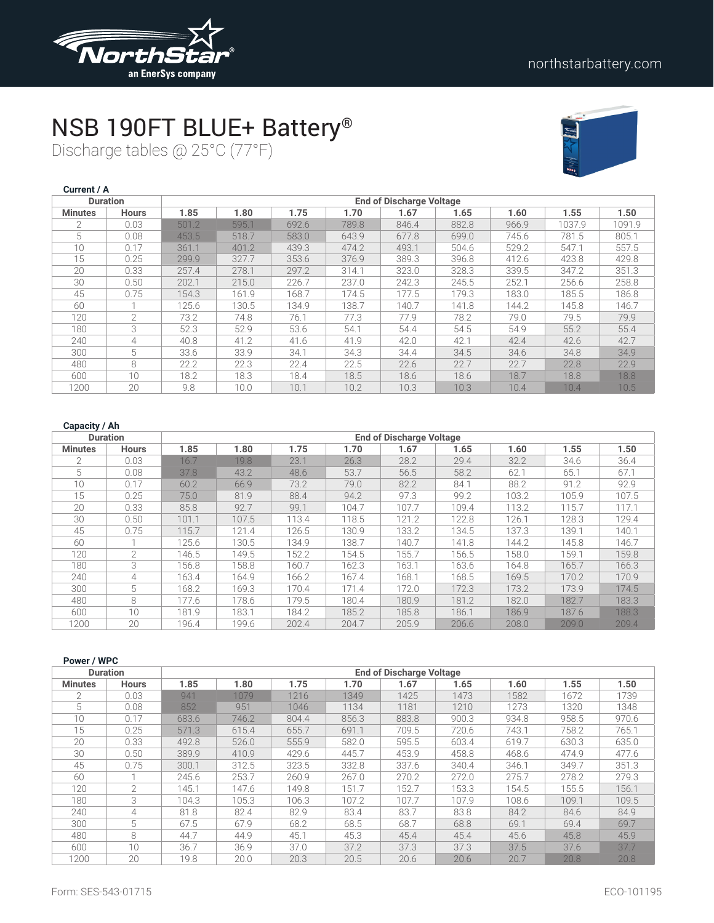

# NSB 190FT BLUE+ Battery®

Discharge tables @ 25°C (77°F)



| Current / A    |                 |       |       |       |       |                                 |       |       |        |        |
|----------------|-----------------|-------|-------|-------|-------|---------------------------------|-------|-------|--------|--------|
|                | <b>Duration</b> |       |       |       |       | <b>End of Discharge Voltage</b> |       |       |        |        |
| <b>Minutes</b> | <b>Hours</b>    | 1.85  | 1.80  | 1.75  | 1.70  | 1.67                            | 1.65  | 1.60  | 1.55   | 1.50   |
| $\mathfrak{D}$ | 0.03            | 501.2 | 595.1 | 692.6 | 789.8 | 846.4                           | 882.8 | 966.9 | 1037.9 | 1091.9 |
| 5              | 0.08            | 453.5 | 518.7 | 583.0 | 643.9 | 677.8                           | 699.0 | 745.6 | 781.5  | 805.1  |
| 10             | 0.17            | 361.1 | 401.2 | 439.3 | 474.2 | 493.1                           | 504.6 | 529.2 | 547.1  | 557.5  |
| 15             | 0.25            | 299.9 | 327.7 | 353.6 | 376.9 | 389.3                           | 396.8 | 412.6 | 423.8  | 429.8  |
| 20             | 0.33            | 257.4 | 278.1 | 297.2 | 314.1 | 323.0                           | 328.3 | 339.5 | 347.2  | 351.3  |
| 30             | 0.50            | 202.1 | 215.0 | 226.7 | 237.0 | 242.3                           | 245.5 | 252.1 | 256.6  | 258.8  |
| 45             | 0.75            | 154.3 | 161.9 | 168.7 | 174.5 | 177.5                           | 179.3 | 183.0 | 185.5  | 186.8  |
| 60             | 1               | 125.6 | 130.5 | 134.9 | 138.7 | 140.7                           | 141.8 | 144.2 | 145.8  | 146.7  |
| 120            | $\overline{2}$  | 73.2  | 74.8  | 76.1  | 77.3  | 77.9                            | 78.2  | 79.0  | 79.5   | 79.9   |
| 180            | 3               | 52.3  | 52.9  | 53.6  | 54.1  | 54.4                            | 54.5  | 54.9  | 55.2   | 55.4   |
| 240            | 4               | 40.8  | 41.2  | 41.6  | 41.9  | 42.0                            | 42.1  | 42.4  | 42.6   | 42.7   |
| 300            | 5               | 33.6  | 33.9  | 34.1  | 34.3  | 34.4                            | 34.5  | 34.6  | 34.8   | 34.9   |
| 480            | 8               | 22.2  | 22.3  | 22.4  | 22.5  | 22.6                            | 22.7  | 22.7  | 22.8   | 22.9   |
| 600            | 10              | 18.2  | 18.3  | 18.4  | 18.5  | 18.6                            | 18.6  | 18.7  | 18.8   | 18.8   |
| 1200           | 20              | 9.8   | 10.0  | 10.1  | 10.2  | 10.3                            | 10.3  | 10.4  | 10.4   | 10.5   |

| <b>Duration</b> |               |       |       |       |       | <b>End of Discharge Voltage</b> |       |       |       |       |
|-----------------|---------------|-------|-------|-------|-------|---------------------------------|-------|-------|-------|-------|
| <b>Minutes</b>  | <b>Hours</b>  | 1.85  | 1.80  | 1.75  | 1.70  | 1.67                            | 1.65  | 1.60  | 1.55  | 1.50  |
| $\mathfrak{D}$  | 0.03          | 16.7  | 19.8  | 23.1  | 26.3  | 28.2                            | 29.4  | 32.2  | 34.6  | 36.4  |
| 5               | 0.08          | 37.8  | 43.2  | 48.6  | 53.7  | 56.5                            | 58.2  | 62.1  | 65.1  | 67.1  |
| 10              | 0.17          | 60.2  | 66.9  | 73.2  | 79.0  | 82.2                            | 84.1  | 88.2  | 91.2  | 92.9  |
| 15              | 0.25          | 75.0  | 81.9  | 88.4  | 94.2  | 97.3                            | 99.2  | 103.2 | 105.9 | 107.5 |
| 20              | 0.33          | 85.8  | 92.7  | 99.1  | 104.7 | 107.7                           | 109.4 | 113.2 | 115.7 | 117.1 |
| 30              | 0.50          | 101.1 | 107.5 | 113.4 | 118.5 | 121.2                           | 122.8 | 126.1 | 128.3 | 129.4 |
| 45              | 0.75          | 115.7 | 121.4 | 126.5 | 130.9 | 133.2                           | 134.5 | 137.3 | 139.1 | 140.1 |
| 60              |               | 125.6 | 130.5 | 134.9 | 138.7 | 140.7                           | 141.8 | 144.2 | 145.8 | 146.7 |
| 120             | $\mathcal{L}$ | 146.5 | 149.5 | 152.2 | 154.5 | 155.7                           | 156.5 | 158.0 | 159.1 | 159.8 |
| 180             | 3             | 156.8 | 158.8 | 160.7 | 162.3 | 163.1                           | 163.6 | 164.8 | 165.7 | 166.3 |
| 240             | 4             | 163.4 | 164.9 | 166.2 | 167.4 | 168.1                           | 168.5 | 169.5 | 170.2 | 170.9 |
| 300             | 5             | 168.2 | 169.3 | 170.4 | 171.4 | 172.0                           | 172.3 | 173.2 | 173.9 | 174.5 |
| 480             | 8             | 177.6 | 178.6 | 179.5 | 180.4 | 180.9                           | 181.2 | 182.0 | 182.7 | 183.3 |
| 600             | 10            | 181.9 | 183.1 | 184.2 | 185.2 | 185.8                           | 186.1 | 186.9 | 187.6 | 188.3 |
| 1200            | 20            | 196.4 | 199.6 | 202.4 | 204.7 | 205.9                           | 206.6 | 208.0 | 209.0 | 209.4 |

| Power / WPC    |                 |       |       |       |       |                                 |       |       |       |       |
|----------------|-----------------|-------|-------|-------|-------|---------------------------------|-------|-------|-------|-------|
|                | <b>Duration</b> |       |       |       |       | <b>End of Discharge Voltage</b> |       |       |       |       |
| <b>Minutes</b> | <b>Hours</b>    | 1.85  | 1.80  | 1.75  | 1.70  | 1.67                            | 1.65  | 1.60  | 1.55  | 1.50  |
| $\overline{2}$ | 0.03            | 941   | 1079  | 1216  | 1349  | 1425                            | 1473  | 1582  | 1672  | 1739  |
| 5              | 0.08            | 852   | 951   | 1046  | 1134  | 1181                            | 1210  | 1273  | 1320  | 1348  |
| 10             | 0.17            | 683.6 | 746.2 | 804.4 | 856.3 | 883.8                           | 900.3 | 934.8 | 958.5 | 970.6 |
| 15             | 0.25            | 571.3 | 615.4 | 655.7 | 691.1 | 709.5                           | 720.6 | 743.1 | 758.2 | 765.1 |
| 20             | 0.33            | 492.8 | 526.0 | 555.9 | 582.0 | 595.5                           | 603.4 | 619.7 | 630.3 | 635.0 |
| 30             | 0.50            | 389.9 | 410.9 | 429.6 | 445.7 | 453.9                           | 458.8 | 468.6 | 474.9 | 477.6 |
| 45             | 0.75            | 300.1 | 312.5 | 323.5 | 332.8 | 337.6                           | 340.4 | 346.1 | 349.7 | 351.3 |
| 60             |                 | 245.6 | 253.7 | 260.9 | 267.0 | 270.2                           | 272.0 | 275.7 | 278.2 | 279.3 |
| 120            | $\mathcal{L}$   | 145.1 | 147.6 | 149.8 | 151.7 | 152.7                           | 153.3 | 154.5 | 155.5 | 156.1 |
| 180            | 3               | 104.3 | 105.3 | 106.3 | 107.2 | 107.7                           | 107.9 | 108.6 | 109.1 | 109.5 |
| 240            | 4               | 81.8  | 82.4  | 82.9  | 83.4  | 83.7                            | 83.8  | 84.2  | 84.6  | 84.9  |
| 300            | 5               | 67.5  | 67.9  | 68.2  | 68.5  | 68.7                            | 68.8  | 69.1  | 69.4  | 69.7  |
| 480            | 8               | 44.7  | 44.9  | 45.1  | 45.3  | 45.4                            | 45.4  | 45.6  | 45.8  | 45.9  |
| 600            | 10 <sup>1</sup> | 36.7  | 36.9  | 37.0  | 37.2  | 37.3                            | 37.3  | 37.5  | 37.6  | 37.7  |
| 1200           | 20              | 19.8  | 20.0  | 20.3  | 20.5  | 20.6                            | 20.6  | 20.7  | 20.8  | 20.8  |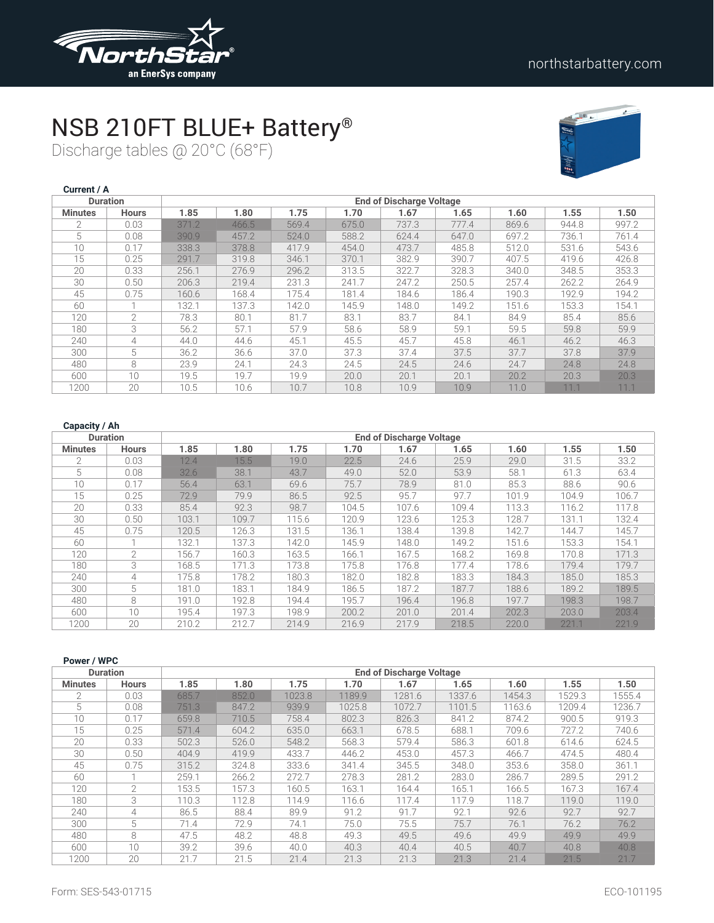

# NSB 210FT BLUE+ Battery®

Discharge tables @ 20°C (68°F)



| Current / A    |                 |                                 |       |       |       |       |       |       |       |       |  |
|----------------|-----------------|---------------------------------|-------|-------|-------|-------|-------|-------|-------|-------|--|
|                | <b>Duration</b> | <b>End of Discharge Voltage</b> |       |       |       |       |       |       |       |       |  |
| <b>Minutes</b> | <b>Hours</b>    | 1.85                            | 1.80  | 1.75  | 1.70  | 1.67  | 1.65  | 1.60  | 1.55  | 1.50  |  |
| $\mathcal{P}$  | 0.03            | 371.2                           | 466.5 | 569.4 | 675.0 | 737.3 | 777.4 | 869.6 | 944.8 | 997.2 |  |
| 5              | 0.08            | 390.9                           | 457.2 | 524.0 | 588.2 | 624.4 | 647.0 | 697.2 | 736.1 | 761.4 |  |
| 10             | 0.17            | 338.3                           | 378.8 | 417.9 | 454.0 | 473.7 | 485.8 | 512.0 | 531.6 | 543.6 |  |
| 15             | 0.25            | 291.7                           | 319.8 | 346.1 | 370.1 | 382.9 | 390.7 | 407.5 | 419.6 | 426.8 |  |
| 20             | 0.33            | 256.1                           | 276.9 | 296.2 | 313.5 | 322.7 | 328.3 | 340.0 | 348.5 | 353.3 |  |
| 30             | 0.50            | 206.3                           | 219.4 | 231.3 | 241.7 | 247.2 | 250.5 | 257.4 | 262.2 | 264.9 |  |
| 45             | 0.75            | 160.6                           | 168.4 | 175.4 | 181.4 | 184.6 | 186.4 | 190.3 | 192.9 | 194.2 |  |
| 60             |                 | 132.1                           | 137.3 | 142.0 | 145.9 | 148.0 | 149.2 | 151.6 | 153.3 | 154.1 |  |
| 120            | $\overline{2}$  | 78.3                            | 80.1  | 81.7  | 83.1  | 83.7  | 84.1  | 84.9  | 85.4  | 85.6  |  |
| 180            | 3               | 56.2                            | 57.1  | 57.9  | 58.6  | 58.9  | 59.1  | 59.5  | 59.8  | 59.9  |  |
| 240            | 4               | 44.0                            | 44.6  | 45.1  | 45.5  | 45.7  | 45.8  | 46.1  | 46.2  | 46.3  |  |
| 300            | 5               | 36.2                            | 36.6  | 37.0  | 37.3  | 37.4  | 37.5  | 37.7  | 37.8  | 37.9  |  |
| 480            | 8               | 23.9                            | 24.1  | 24.3  | 24.5  | 24.5  | 24.6  | 24.7  | 24.8  | 24.8  |  |
| 600            | 10              | 19.5                            | 19.7  | 19.9  | 20.0  | 20.1  | 20.1  | 20.2  | 20.3  | 20.3  |  |
| 1200           | 20              | 10.5                            | 10.6  | 10.7  | 10.8  | 10.9  | 10.9  | 11.0  | 11.1  | 11.1  |  |

| <b>Duration</b> |                | <b>End of Discharge Voltage</b> |       |       |       |       |       |       |       |       |  |  |
|-----------------|----------------|---------------------------------|-------|-------|-------|-------|-------|-------|-------|-------|--|--|
| <b>Minutes</b>  | <b>Hours</b>   | 1.85                            | 1.80  | 1.75  | 1.70  | 1.67  | 1.65  | 1.60  | 1.55  | 1.50  |  |  |
| $\mathcal{P}$   | 0.03           | 12.4                            | 15.5  | 19.0  | 22.5  | 24.6  | 25.9  | 29.0  | 31.5  | 33.2  |  |  |
| 5               | 0.08           | 32.6                            | 38.1  | 43.7  | 49.0  | 52.0  | 53.9  | 58.1  | 61.3  | 63.4  |  |  |
| 10              | 0.17           | 56.4                            | 63.1  | 69.6  | 75.7  | 78.9  | 81.0  | 85.3  | 88.6  | 90.6  |  |  |
| 15              | 0.25           | 72.9                            | 79.9  | 86.5  | 92.5  | 95.7  | 97.7  | 101.9 | 104.9 | 106.7 |  |  |
| 20              | 0.33           | 85.4                            | 92.3  | 98.7  | 104.5 | 107.6 | 109.4 | 113.3 | 116.2 | 117.8 |  |  |
| 30              | 0.50           | 103.1                           | 109.7 | 115.6 | 120.9 | 123.6 | 125.3 | 128.7 | 131.1 | 132.4 |  |  |
| 45              | 0.75           | 120.5                           | 126.3 | 131.5 | 136.1 | 138.4 | 139.8 | 142.7 | 144.7 | 145.7 |  |  |
| 60              |                | 132.1                           | 137.3 | 142.0 | 145.9 | 148.0 | 149.2 | 151.6 | 153.3 | 154.1 |  |  |
| 120             | $\overline{2}$ | 156.7                           | 160.3 | 163.5 | 166.1 | 167.5 | 168.2 | 169.8 | 170.8 | 171.3 |  |  |
| 180             | 3              | 168.5                           | 171.3 | 173.8 | 175.8 | 176.8 | 177.4 | 178.6 | 179.4 | 179.7 |  |  |
| 240             | 4              | 175.8                           | 178.2 | 180.3 | 182.0 | 182.8 | 183.3 | 184.3 | 185.0 | 185.3 |  |  |
| 300             | 5              | 181.0                           | 183.1 | 184.9 | 186.5 | 187.2 | 187.7 | 188.6 | 189.2 | 189.5 |  |  |
| 480             | 8              | 191.0                           | 192.8 | 194.4 | 195.7 | 196.4 | 196.8 | 197.7 | 198.3 | 198.7 |  |  |
| 600             | 10             | 195.4                           | 197.3 | 198.9 | 200.2 | 201.0 | 201.4 | 202.3 | 203.0 | 203.4 |  |  |
| 1200            | 20             | 210.2                           | 212.7 | 214.9 | 216.9 | 217.9 | 218.5 | 220.0 | 221.1 | 221.9 |  |  |

|                | Power / WPC                                        |       |       |        |        |        |        |        |        |        |  |
|----------------|----------------------------------------------------|-------|-------|--------|--------|--------|--------|--------|--------|--------|--|
|                | <b>End of Discharge Voltage</b><br><b>Duration</b> |       |       |        |        |        |        |        |        |        |  |
| <b>Minutes</b> | <b>Hours</b>                                       | 1.85  | 1.80  | 1.75   | 1.70   | 1.67   | 1.65   | 1.60   | 1.55   | 1.50   |  |
| $\overline{2}$ | 0.03                                               | 685.7 | 852.0 | 1023.8 | 1189.9 | 1281.6 | 1337.6 | 1454.3 | 1529.3 | 1555.4 |  |
| 5              | 0.08                                               | 751.3 | 847.2 | 939.9  | 1025.8 | 1072.7 | 1101.5 | 1163.6 | 1209.4 | 1236.7 |  |
| 10             | 0.17                                               | 659.8 | 710.5 | 758.4  | 802.3  | 826.3  | 841.2  | 874.2  | 900.5  | 919.3  |  |
| 15             | 0.25                                               | 571.4 | 604.2 | 635.0  | 663.1  | 678.5  | 688.1  | 709.6  | 727.2  | 740.6  |  |
| 20             | 0.33                                               | 502.3 | 526.0 | 548.2  | 568.3  | 579.4  | 586.3  | 601.8  | 614.6  | 624.5  |  |
| 30             | 0.50                                               | 404.9 | 419.9 | 433.7  | 446.2  | 453.0  | 457.3  | 466.7  | 474.5  | 480.4  |  |
| 45             | 0.75                                               | 315.2 | 324.8 | 333.6  | 341.4  | 345.5  | 348.0  | 353.6  | 358.0  | 361.1  |  |
| 60             |                                                    | 259.1 | 266.2 | 272.7  | 278.3  | 281.2  | 283.0  | 286.7  | 289.5  | 291.2  |  |
| 120            | $\mathcal{P}$                                      | 153.5 | 157.3 | 160.5  | 163.1  | 164.4  | 165.1  | 166.5  | 167.3  | 167.4  |  |
| 180            | 3                                                  | 110.3 | 112.8 | 114.9  | 116.6  | 117.4  | 117.9  | 118.7  | 119.0  | 119.0  |  |
| 240            | 4                                                  | 86.5  | 88.4  | 89.9   | 91.2   | 91.7   | 92.1   | 92.6   | 92.7   | 92.7   |  |
| 300            | 5                                                  | 71.4  | 72.9  | 74.1   | 75.0   | 75.5   | 75.7   | 76.1   | 76.2   | 76.2   |  |
| 480            | 8                                                  | 47.5  | 48.2  | 48.8   | 49.3   | 49.5   | 49.6   | 49.9   | 49.9   | 49.9   |  |
| 600            | 10 <sup>°</sup>                                    | 39.2  | 39.6  | 40.0   | 40.3   | 40.4   | 40.5   | 40.7   | 40.8   | 40.8   |  |
| 1200           | 20                                                 | 21.7  | 21.5  | 21.4   | 21.3   | 21.3   | 21.3   | 21.4   | 21.5   | 21.7   |  |